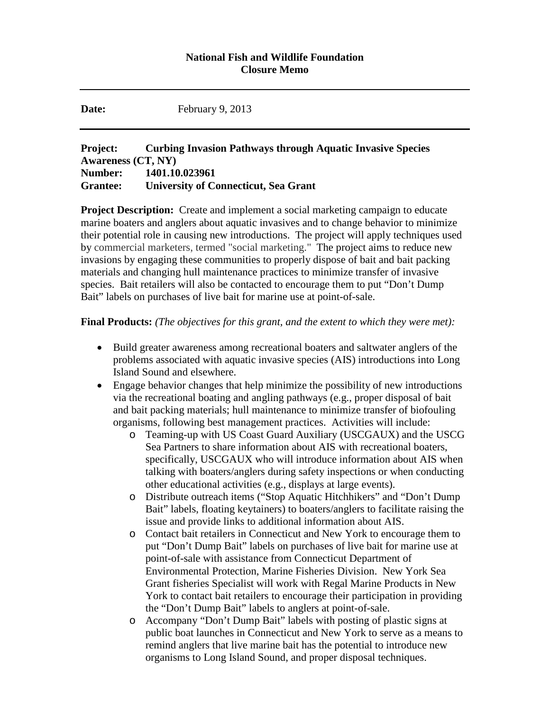## **National Fish and Wildlife Foundation Closure Memo**

**Date:** February 9, 2013

## **Project: Curbing Invasion Pathways through Aquatic Invasive Species Awareness (CT, NY) Number: 1401.10.023961 Grantee: University of Connecticut, Sea Grant**

**Project Description:** Create and implement a social marketing campaign to educate marine boaters and anglers about aquatic invasives and to change behavior to minimize their potential role in causing new introductions. The project will apply techniques used by commercial marketers, termed "social marketing." The project aims to reduce new invasions by engaging these communities to properly dispose of bait and bait packing materials and changing hull maintenance practices to minimize transfer of invasive species. Bait retailers will also be contacted to encourage them to put "Don't Dump Bait" labels on purchases of live bait for marine use at point-of-sale.

**Final Products:** *(The objectives for this grant, and the extent to which they were met):*

- Build greater awareness among recreational boaters and saltwater anglers of the problems associated with aquatic invasive species (AIS) introductions into Long Island Sound and elsewhere.
- Engage behavior changes that help minimize the possibility of new introductions via the recreational boating and angling pathways (e.g., proper disposal of bait and bait packing materials; hull maintenance to minimize transfer of biofouling organisms, following best management practices. Activities will include:
	- o Teaming-up with US Coast Guard Auxiliary (USCGAUX) and the USCG Sea Partners to share information about AIS with recreational boaters, specifically, USCGAUX who will introduce information about AIS when talking with boaters/anglers during safety inspections or when conducting other educational activities (e.g., displays at large events).
	- o Distribute outreach items ("Stop Aquatic Hitchhikers" and "Don't Dump Bait" labels, floating keytainers) to boaters/anglers to facilitate raising the issue and provide links to additional information about AIS.
	- o Contact bait retailers in Connecticut and New York to encourage them to put "Don't Dump Bait" labels on purchases of live bait for marine use at point-of-sale with assistance from Connecticut Department of Environmental Protection, Marine Fisheries Division. New York Sea Grant fisheries Specialist will work with Regal Marine Products in New York to contact bait retailers to encourage their participation in providing the "Don't Dump Bait" labels to anglers at point-of-sale.
	- o Accompany "Don't Dump Bait" labels with posting of plastic signs at public boat launches in Connecticut and New York to serve as a means to remind anglers that live marine bait has the potential to introduce new organisms to Long Island Sound, and proper disposal techniques.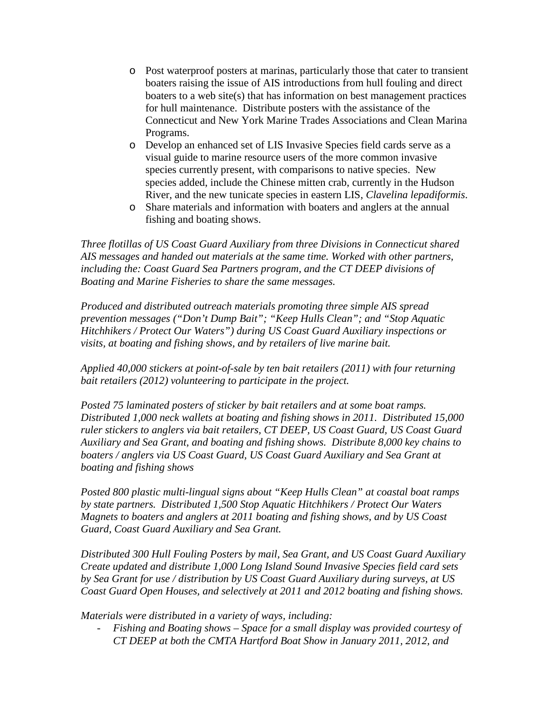- o Post waterproof posters at marinas, particularly those that cater to transient boaters raising the issue of AIS introductions from hull fouling and direct boaters to a web site(s) that has information on best management practices for hull maintenance. Distribute posters with the assistance of the Connecticut and New York Marine Trades Associations and Clean Marina Programs.
- o Develop an enhanced set of LIS Invasive Species field cards serve as a visual guide to marine resource users of the more common invasive species currently present, with comparisons to native species. New species added, include the Chinese mitten crab, currently in the Hudson River, and the new tunicate species in eastern LIS, *Clavelina lepadiformis*.
- o Share materials and information with boaters and anglers at the annual fishing and boating shows.

*Three flotillas of US Coast Guard Auxiliary from three Divisions in Connecticut shared AIS messages and handed out materials at the same time. Worked with other partners, including the: Coast Guard Sea Partners program, and the CT DEEP divisions of Boating and Marine Fisheries to share the same messages.*

*Produced and distributed outreach materials promoting three simple AIS spread prevention messages ("Don't Dump Bait"; "Keep Hulls Clean"; and "Stop Aquatic Hitchhikers / Protect Our Waters") during US Coast Guard Auxiliary inspections or visits, at boating and fishing shows, and by retailers of live marine bait.* 

*Applied 40,000 stickers at point-of-sale by ten bait retailers (2011) with four returning bait retailers (2012) volunteering to participate in the project.*

*Posted 75 laminated posters of sticker by bait retailers and at some boat ramps. Distributed 1,000 neck wallets at boating and fishing shows in 2011. Distributed 15,000 ruler stickers to anglers via bait retailers, CT DEEP, US Coast Guard, US Coast Guard Auxiliary and Sea Grant, and boating and fishing shows. Distribute 8,000 key chains to boaters / anglers via US Coast Guard, US Coast Guard Auxiliary and Sea Grant at boating and fishing shows*

*Posted 800 plastic multi-lingual signs about "Keep Hulls Clean" at coastal boat ramps by state partners. Distributed 1,500 Stop Aquatic Hitchhikers / Protect Our Waters Magnets to boaters and anglers at 2011 boating and fishing shows, and by US Coast Guard, Coast Guard Auxiliary and Sea Grant.*

*Distributed 300 Hull Fouling Posters by mail, Sea Grant, and US Coast Guard Auxiliary Create updated and distribute 1,000 Long Island Sound Invasive Species field card sets by Sea Grant for use / distribution by US Coast Guard Auxiliary during surveys, at US Coast Guard Open Houses, and selectively at 2011 and 2012 boating and fishing shows.* 

*Materials were distributed in a variety of ways, including:*

- *Fishing and Boating shows – Space for a small display was provided courtesy of CT DEEP at both the CMTA Hartford Boat Show in January 2011, 2012, and*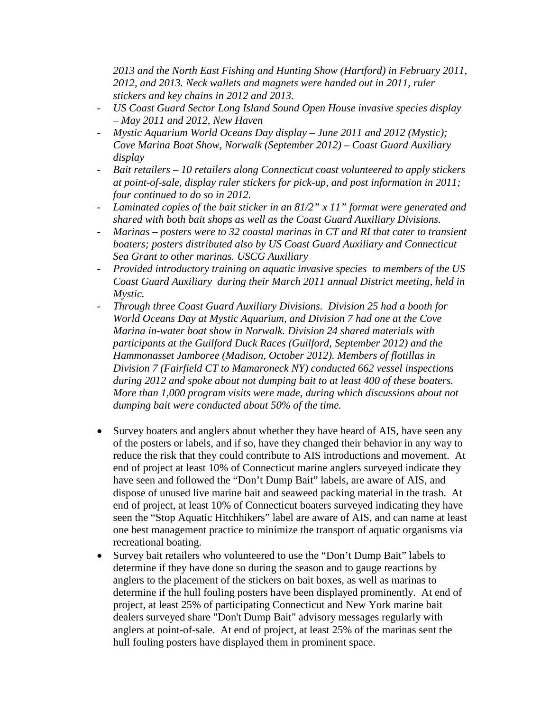*2013 and the North East Fishing and Hunting Show (Hartford) in February 2011, 2012, and 2013. Neck wallets and magnets were handed out in 2011, ruler stickers and key chains in 2012 and 2013.*

- *US Coast Guard Sector Long Island Sound Open House invasive species display – May 2011 and 2012, New Haven*
- *Mystic Aquarium World Oceans Day display – June 2011 and 2012 (Mystic); Cove Marina Boat Show, Norwalk (September 2012) – Coast Guard Auxiliary display*
- *Bait retailers – 10 retailers along Connecticut coast volunteered to apply stickers at point-of-sale, display ruler stickers for pick-up, and post information in 2011; four continued to do so in 2012.*
- *Laminated copies of the bait sticker in an 81/2" x 11" format were generated and shared with both bait shops as well as the Coast Guard Auxiliary Divisions.*
- *Marinas – posters were to 32 coastal marinas in CT and RI that cater to transient boaters; posters distributed also by US Coast Guard Auxiliary and Connecticut Sea Grant to other marinas. USCG Auxiliary*
- *Provided introductory training on aquatic invasive species to members of the US Coast Guard Auxiliary during their March 2011 annual District meeting, held in Mystic.*
- *Through three Coast Guard Auxiliary Divisions. Division 25 had a booth for World Oceans Day at Mystic Aquarium, and Division 7 had one at the Cove Marina in-water boat show in Norwalk. Division 24 shared materials with participants at the Guilford Duck Races (Guilford, September 2012) and the Hammonasset Jamboree (Madison, October 2012). Members of flotillas in Division 7 (Fairfield CT to Mamaroneck NY) conducted 662 vessel inspections during 2012 and spoke about not dumping bait to at least 400 of these boaters. More than 1,000 program visits were made, during which discussions about not dumping bait were conducted about 50% of the time.*
- Survey boaters and anglers about whether they have heard of AIS, have seen any of the posters or labels, and if so, have they changed their behavior in any way to reduce the risk that they could contribute to AIS introductions and movement. At end of project at least 10% of Connecticut marine anglers surveyed indicate they have seen and followed the "Don't Dump Bait" labels, are aware of AIS, and dispose of unused live marine bait and seaweed packing material in the trash. At end of project, at least 10% of Connecticut boaters surveyed indicating they have seen the "Stop Aquatic Hitchhikers" label are aware of AIS, and can name at least one best management practice to minimize the transport of aquatic organisms via recreational boating.
- Survey bait retailers who volunteered to use the "Don't Dump Bait" labels to determine if they have done so during the season and to gauge reactions by anglers to the placement of the stickers on bait boxes, as well as marinas to determine if the hull fouling posters have been displayed prominently. At end of project, at least 25% of participating Connecticut and New York marine bait dealers surveyed share "Don't Dump Bait" advisory messages regularly with anglers at point-of-sale. At end of project, at least 25% of the marinas sent the hull fouling posters have displayed them in prominent space.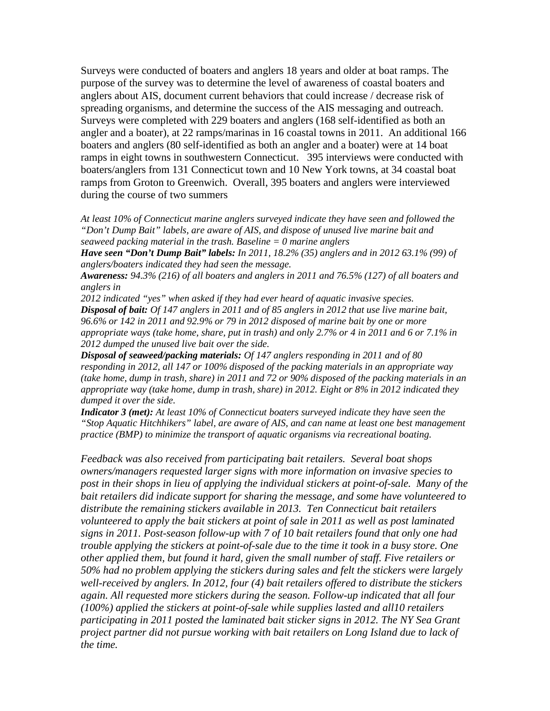Surveys were conducted of boaters and anglers 18 years and older at boat ramps. The purpose of the survey was to determine the level of awareness of coastal boaters and anglers about AIS, document current behaviors that could increase / decrease risk of spreading organisms, and determine the success of the AIS messaging and outreach. Surveys were completed with 229 boaters and anglers (168 self-identified as both an angler and a boater), at 22 ramps/marinas in 16 coastal towns in 2011. An additional 166 boaters and anglers (80 self-identified as both an angler and a boater) were at 14 boat ramps in eight towns in southwestern Connecticut. 395 interviews were conducted with boaters/anglers from 131 Connecticut town and 10 New York towns, at 34 coastal boat ramps from Groton to Greenwich. Overall, 395 boaters and anglers were interviewed during the course of two summers

*At least 10% of Connecticut marine anglers surveyed indicate they have seen and followed the "Don't Dump Bait" labels, are aware of AIS, and dispose of unused live marine bait and seaweed packing material in the trash. Baseline = 0 marine anglers*

*Have seen "Don't Dump Bait" labels: In 2011, 18.2% (35) anglers and in 2012 63.1% (99) of anglers/boaters indicated they had seen the message.*

*Awareness: 94.3% (216) of all boaters and anglers in 2011 and 76.5% (127) of all boaters and anglers in*

*2012 indicated "yes" when asked if they had ever heard of aquatic invasive species. Disposal of bait: Of 147 anglers in 2011 and of 85 anglers in 2012 that use live marine bait, 96.6% or 142 in 2011 and 92.9% or 79 in 2012 disposed of marine bait by one or more appropriate ways (take home, share, put in trash) and only 2.7% or 4 in 2011 and 6 or 7.1% in 2012 dumped the unused live bait over the side.*

*Disposal of seaweed/packing materials: Of 147 anglers responding in 2011 and of 80 responding in 2012, all 147 or 100% disposed of the packing materials in an appropriate way (take home, dump in trash, share) in 2011 and 72 or 90% disposed of the packing materials in an appropriate way (take home, dump in trash, share) in 2012. Eight or 8% in 2012 indicated they dumped it over the side.*

*Indicator 3 (met): At least 10% of Connecticut boaters surveyed indicate they have seen the "Stop Aquatic Hitchhikers" label, are aware of AIS, and can name at least one best management practice (BMP) to minimize the transport of aquatic organisms via recreational boating.* 

*Feedback was also received from participating bait retailers. Several boat shops owners/managers requested larger signs with more information on invasive species to post in their shops in lieu of applying the individual stickers at point-of-sale. Many of the bait retailers did indicate support for sharing the message, and some have volunteered to distribute the remaining stickers available in 2013. Ten Connecticut bait retailers volunteered to apply the bait stickers at point of sale in 2011 as well as post laminated signs in 2011. Post-season follow-up with 7 of 10 bait retailers found that only one had trouble applying the stickers at point-of-sale due to the time it took in a busy store. One other applied them, but found it hard, given the small number of staff. Five retailers or 50% had no problem applying the stickers during sales and felt the stickers were largely well-received by anglers. In 2012, four (4) bait retailers offered to distribute the stickers again. All requested more stickers during the season. Follow-up indicated that all four (100%) applied the stickers at point-of-sale while supplies lasted and all10 retailers participating in 2011 posted the laminated bait sticker signs in 2012. The NY Sea Grant project partner did not pursue working with bait retailers on Long Island due to lack of the time.*